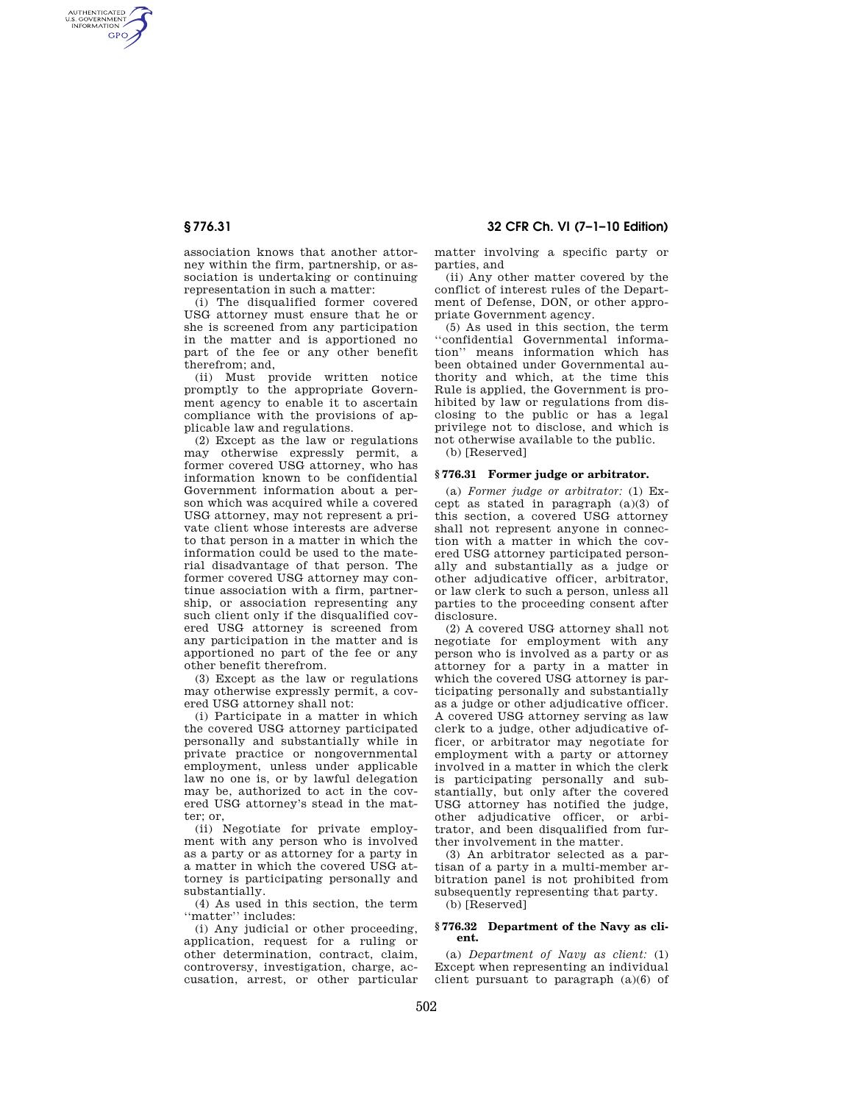AUTHENTICATED<br>U.S. GOVERNMENT<br>INFORMATION **GPO** 

> association knows that another attorney within the firm, partnership, or association is undertaking or continuing representation in such a matter:

(i) The disqualified former covered USG attorney must ensure that he or she is screened from any participation in the matter and is apportioned no part of the fee or any other benefit therefrom; and,

(ii) Must provide written notice promptly to the appropriate Government agency to enable it to ascertain compliance with the provisions of applicable law and regulations.

(2) Except as the law or regulations may otherwise expressly permit, a former covered USG attorney, who has information known to be confidential Government information about a person which was acquired while a covered USG attorney, may not represent a private client whose interests are adverse to that person in a matter in which the information could be used to the material disadvantage of that person. The former covered USG attorney may continue association with a firm, partnership, or association representing any such client only if the disqualified covered USG attorney is screened from any participation in the matter and is apportioned no part of the fee or any other benefit therefrom.

(3) Except as the law or regulations may otherwise expressly permit, a covered USG attorney shall not:

(i) Participate in a matter in which the covered USG attorney participated personally and substantially while in private practice or nongovernmental employment, unless under applicable law no one is, or by lawful delegation may be, authorized to act in the covered USG attorney's stead in the matter; or,

(ii) Negotiate for private employment with any person who is involved as a party or as attorney for a party in a matter in which the covered USG attorney is participating personally and substantially.

(4) As used in this section, the term ''matter'' includes:

(i) Any judicial or other proceeding, application, request for a ruling or other determination, contract, claim, controversy, investigation, charge, accusation, arrest, or other particular

**§ 776.31 32 CFR Ch. VI (7–1–10 Edition)** 

matter involving a specific party or parties, and

(ii) Any other matter covered by the conflict of interest rules of the Department of Defense, DON, or other appropriate Government agency.

(5) As used in this section, the term ''confidential Governmental information'' means information which has been obtained under Governmental authority and which, at the time this Rule is applied, the Government is prohibited by law or regulations from disclosing to the public or has a legal privilege not to disclose, and which is not otherwise available to the public.

(b) [Reserved]

### **§ 776.31 Former judge or arbitrator.**

(a) *Former judge or arbitrator:* (1) Except as stated in paragraph (a)(3) of this section, a covered USG attorney shall not represent anyone in connection with a matter in which the covered USG attorney participated personally and substantially as a judge or other adjudicative officer, arbitrator, or law clerk to such a person, unless all parties to the proceeding consent after disclosure.

(2) A covered USG attorney shall not negotiate for employment with any person who is involved as a party or as attorney for a party in a matter in which the covered USG attorney is participating personally and substantially as a judge or other adjudicative officer. A covered USG attorney serving as law clerk to a judge, other adjudicative officer, or arbitrator may negotiate for employment with a party or attorney involved in a matter in which the clerk is participating personally and substantially, but only after the covered USG attorney has notified the judge, other adjudicative officer, or arbitrator, and been disqualified from further involvement in the matter.

(3) An arbitrator selected as a partisan of a party in a multi-member arbitration panel is not prohibited from subsequently representing that party.

(b) [Reserved]

#### **§ 776.32 Department of the Navy as client.**

(a) *Department of Navy as client:* (1) Except when representing an individual client pursuant to paragraph (a)(6) of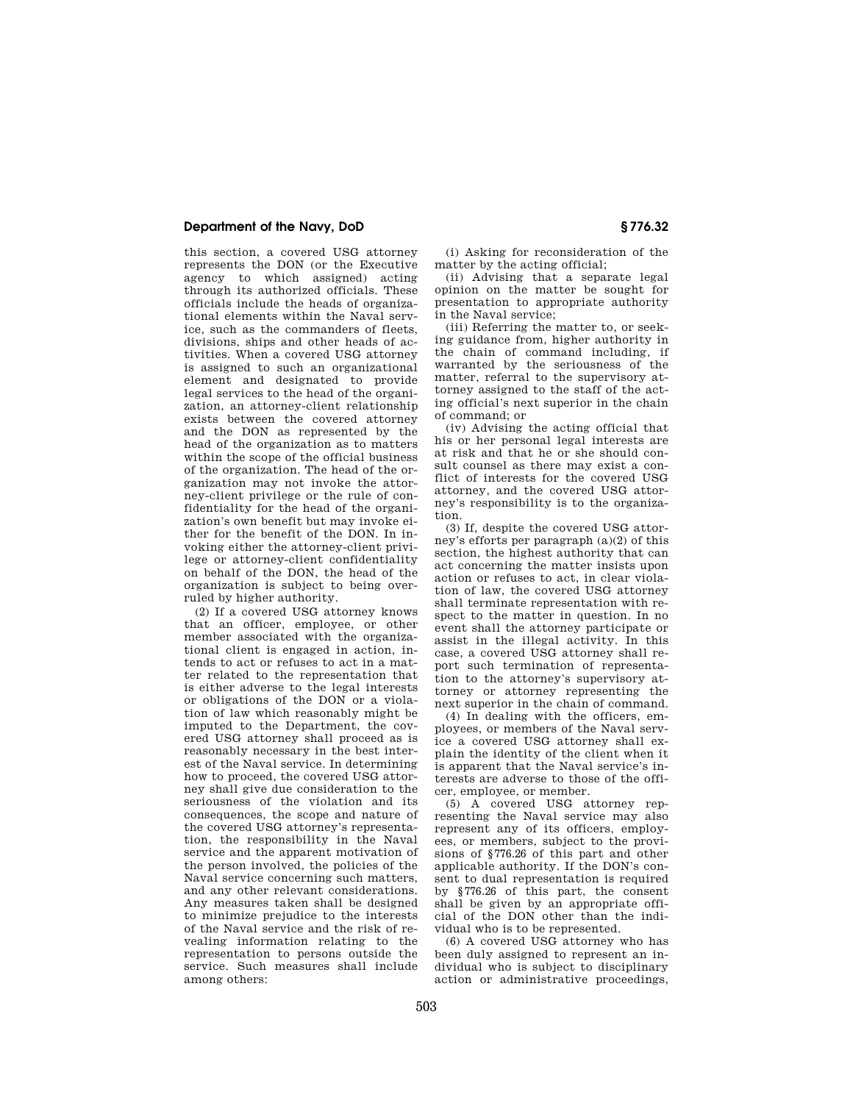## **Department of the Navy, DoD § 776.32**

this section, a covered USG attorney represents the DON (or the Executive agency to which assigned) acting through its authorized officials. These officials include the heads of organizational elements within the Naval service, such as the commanders of fleets, divisions, ships and other heads of activities. When a covered USG attorney is assigned to such an organizational element and designated to provide legal services to the head of the organization, an attorney-client relationship exists between the covered attorney and the DON as represented by the head of the organization as to matters within the scope of the official business of the organization. The head of the organization may not invoke the attorney-client privilege or the rule of confidentiality for the head of the organization's own benefit but may invoke either for the benefit of the DON. In invoking either the attorney-client privilege or attorney-client confidentiality on behalf of the DON, the head of the organization is subject to being overruled by higher authority.

(2) If a covered USG attorney knows that an officer, employee, or other member associated with the organizational client is engaged in action, intends to act or refuses to act in a matter related to the representation that is either adverse to the legal interests or obligations of the DON or a violation of law which reasonably might be imputed to the Department, the covered USG attorney shall proceed as is reasonably necessary in the best interest of the Naval service. In determining how to proceed, the covered USG attorney shall give due consideration to the seriousness of the violation and its consequences, the scope and nature of the covered USG attorney's representation, the responsibility in the Naval service and the apparent motivation of the person involved, the policies of the Naval service concerning such matters, and any other relevant considerations. Any measures taken shall be designed to minimize prejudice to the interests of the Naval service and the risk of revealing information relating to the representation to persons outside the service. Such measures shall include among others:

(i) Asking for reconsideration of the matter by the acting official;

(ii) Advising that a separate legal opinion on the matter be sought for presentation to appropriate authority in the Naval service;

(iii) Referring the matter to, or seeking guidance from, higher authority in the chain of command including, if warranted by the seriousness of the matter, referral to the supervisory attorney assigned to the staff of the acting official's next superior in the chain of command; or

(iv) Advising the acting official that his or her personal legal interests are at risk and that he or she should consult counsel as there may exist a conflict of interests for the covered USG attorney, and the covered USG attorney's responsibility is to the organization.

(3) If, despite the covered USG attorney's efforts per paragraph (a)(2) of this section, the highest authority that can act concerning the matter insists upon action or refuses to act, in clear violation of law, the covered USG attorney shall terminate representation with respect to the matter in question. In no event shall the attorney participate or assist in the illegal activity. In this case, a covered USG attorney shall report such termination of representation to the attorney's supervisory attorney or attorney representing the next superior in the chain of command.

(4) In dealing with the officers, employees, or members of the Naval service a covered USG attorney shall explain the identity of the client when it is apparent that the Naval service's interests are adverse to those of the officer, employee, or member.

(5) A covered USG attorney representing the Naval service may also represent any of its officers, employees, or members, subject to the provisions of §776.26 of this part and other applicable authority. If the DON's consent to dual representation is required by §776.26 of this part, the consent shall be given by an appropriate official of the DON other than the individual who is to be represented.

(6) A covered USG attorney who has been duly assigned to represent an individual who is subject to disciplinary action or administrative proceedings,